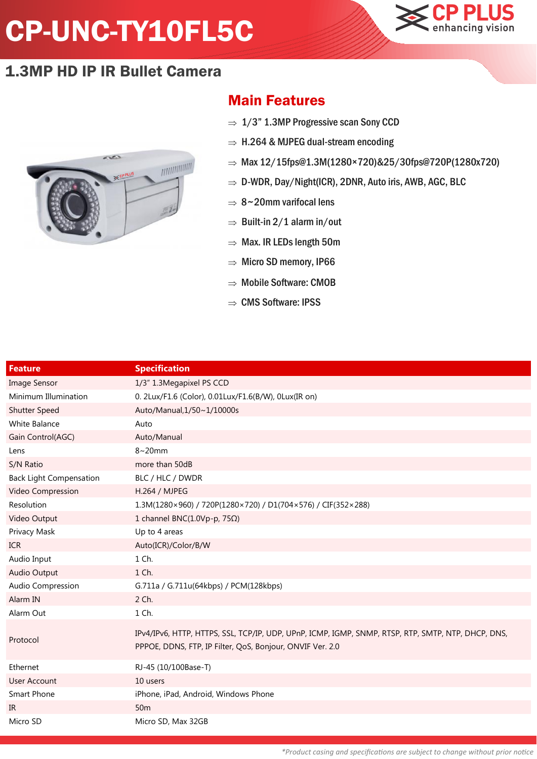## CP-UNC-TY10FL5C



## 1.3MP HD IP IR Bullet Camera



## Main Features

- $\Rightarrow$  1/3" 1.3MP Progressive scan Sony CCD
- $\Rightarrow$  H.264 & MJPEG dual-stream encoding
- $\Rightarrow$  Max 12/15fps@1.3M(1280×720)&25/30fps@720P(1280x720)
- $\Rightarrow$  D-WDR, Day/Night(ICR), 2DNR, Auto iris, AWB, AGC, BLC
- $\Rightarrow$  8~20mm varifocal lens
- $\Rightarrow$  Built-in 2/1 alarm in/out
- $\Rightarrow$  Max. IR LEDs length 50m
- $\Rightarrow$  Micro SD memory, IP66
- $\Rightarrow$  Mobile Software: CMOB
- $\Rightarrow$  CMS Software: IPSS

| <b>Feature</b>                 | <b>Specification</b>                                                                                                                                            |
|--------------------------------|-----------------------------------------------------------------------------------------------------------------------------------------------------------------|
| <b>Image Sensor</b>            | 1/3" 1.3Megapixel PS CCD                                                                                                                                        |
| Minimum Illumination           | 0. 2Lux/F1.6 (Color), 0.01Lux/F1.6(B/W), 0Lux(IR on)                                                                                                            |
| <b>Shutter Speed</b>           | Auto/Manual, 1/50~1/10000s                                                                                                                                      |
| White Balance                  | Auto                                                                                                                                                            |
| Gain Control(AGC)              | Auto/Manual                                                                                                                                                     |
| Lens                           | $8~20$ mm                                                                                                                                                       |
| S/N Ratio                      | more than 50dB                                                                                                                                                  |
| <b>Back Light Compensation</b> | BLC / HLC / DWDR                                                                                                                                                |
| Video Compression              | H.264 / MJPEG                                                                                                                                                   |
| Resolution                     | 1.3M(1280×960) / 720P(1280×720) / D1(704×576) / CIF(352×288)                                                                                                    |
| Video Output                   | 1 channel BNC(1.0Vp-p, 75Ω)                                                                                                                                     |
| Privacy Mask                   | Up to 4 areas                                                                                                                                                   |
| <b>ICR</b>                     | Auto(ICR)/Color/B/W                                                                                                                                             |
| Audio Input                    | 1 Ch.                                                                                                                                                           |
| Audio Output                   | 1 Ch.                                                                                                                                                           |
| Audio Compression              | G.711a / G.711u(64kbps) / PCM(128kbps)                                                                                                                          |
| Alarm IN                       | 2 Ch.                                                                                                                                                           |
| Alarm Out                      | 1 Ch.                                                                                                                                                           |
| Protocol                       | IPv4/IPv6, HTTP, HTTPS, SSL, TCP/IP, UDP, UPnP, ICMP, IGMP, SNMP, RTSP, RTP, SMTP, NTP, DHCP, DNS,<br>PPPOE, DDNS, FTP, IP Filter, QoS, Bonjour, ONVIF Ver. 2.0 |
| Ethernet                       | RJ-45 (10/100Base-T)                                                                                                                                            |
| <b>User Account</b>            | 10 users                                                                                                                                                        |
| Smart Phone                    | iPhone, iPad, Android, Windows Phone                                                                                                                            |
| IR                             | 50 <sub>m</sub>                                                                                                                                                 |
| Micro SD                       | Micro SD, Max 32GB                                                                                                                                              |